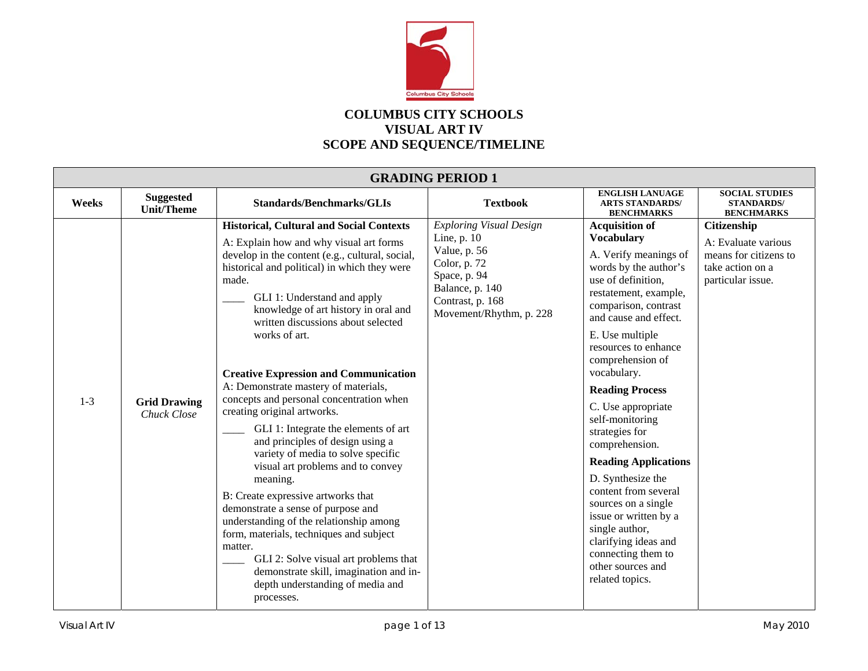

## **COLUMBUS CITY SCHOOLS VISUAL ART IV SCOPE AND SEQUENCE/TIMELINE**

| <b>GRADING PERIOD 1</b> |                                       |                                                                                                                                                                                                                                                                                                                                                                                                                                                                                                                                                                                                                                                                                                                                                                                                                                                                                                                                                                                              |                                                                                                                                                                   |                                                                                                                                                                                                                                                                                                                                                                                                                                                                                                                                                                                                                       |                                                                                                      |  |  |
|-------------------------|---------------------------------------|----------------------------------------------------------------------------------------------------------------------------------------------------------------------------------------------------------------------------------------------------------------------------------------------------------------------------------------------------------------------------------------------------------------------------------------------------------------------------------------------------------------------------------------------------------------------------------------------------------------------------------------------------------------------------------------------------------------------------------------------------------------------------------------------------------------------------------------------------------------------------------------------------------------------------------------------------------------------------------------------|-------------------------------------------------------------------------------------------------------------------------------------------------------------------|-----------------------------------------------------------------------------------------------------------------------------------------------------------------------------------------------------------------------------------------------------------------------------------------------------------------------------------------------------------------------------------------------------------------------------------------------------------------------------------------------------------------------------------------------------------------------------------------------------------------------|------------------------------------------------------------------------------------------------------|--|--|
| Weeks                   | <b>Suggested</b><br><b>Unit/Theme</b> | <b>Standards/Benchmarks/GLIs</b>                                                                                                                                                                                                                                                                                                                                                                                                                                                                                                                                                                                                                                                                                                                                                                                                                                                                                                                                                             | <b>Textbook</b>                                                                                                                                                   | <b>ENGLISH LANUAGE</b><br><b>ARTS STANDARDS/</b><br><b>BENCHMARKS</b>                                                                                                                                                                                                                                                                                                                                                                                                                                                                                                                                                 | <b>SOCIAL STUDIES</b><br><b>STANDARDS/</b><br><b>BENCHMARKS</b>                                      |  |  |
| $1-3$                   | <b>Grid Drawing</b><br>Chuck Close    | <b>Historical, Cultural and Social Contexts</b><br>A: Explain how and why visual art forms<br>develop in the content (e.g., cultural, social,<br>historical and political) in which they were<br>made.<br>GLI 1: Understand and apply<br>knowledge of art history in oral and<br>written discussions about selected<br>works of art.<br><b>Creative Expression and Communication</b><br>A: Demonstrate mastery of materials,<br>concepts and personal concentration when<br>creating original artworks.<br>GLI 1: Integrate the elements of art<br>and principles of design using a<br>variety of media to solve specific<br>visual art problems and to convey<br>meaning.<br>B: Create expressive artworks that<br>demonstrate a sense of purpose and<br>understanding of the relationship among<br>form, materials, techniques and subject<br>matter.<br>GLI 2: Solve visual art problems that<br>demonstrate skill, imagination and in-<br>depth understanding of media and<br>processes. | <b>Exploring Visual Design</b><br>Line, $p. 10$<br>Value, p. 56<br>Color, p. 72<br>Space, p. 94<br>Balance, p. 140<br>Contrast, p. 168<br>Movement/Rhythm, p. 228 | <b>Acquisition of</b><br><b>Vocabulary</b><br>A. Verify meanings of<br>words by the author's<br>use of definition,<br>restatement, example,<br>comparison, contrast<br>and cause and effect.<br>E. Use multiple<br>resources to enhance<br>comprehension of<br>vocabulary.<br><b>Reading Process</b><br>C. Use appropriate<br>self-monitoring<br>strategies for<br>comprehension.<br><b>Reading Applications</b><br>D. Synthesize the<br>content from several<br>sources on a single<br>issue or written by a<br>single author,<br>clarifying ideas and<br>connecting them to<br>other sources and<br>related topics. | Citizenship<br>A: Evaluate various<br>means for citizens to<br>take action on a<br>particular issue. |  |  |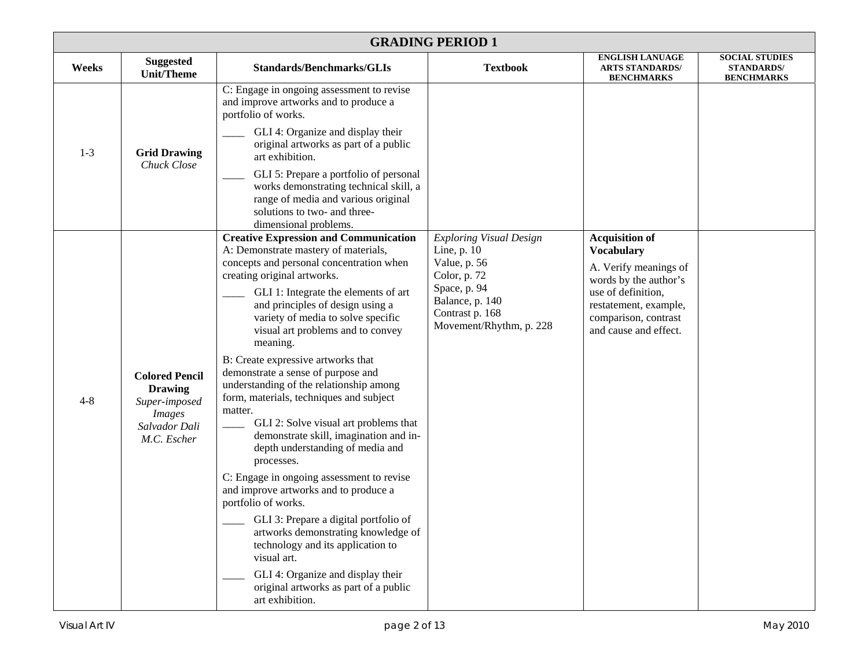|         | <b>GRADING PERIOD 1</b>                                                                                   |                                                                                                                                                                                                                                                                                                                                                                                                                                                                                                                                                                                                                                                                                                                                                                                                                                                                                                                                                                                                        |                                                                                                                                                                |                                                                                                                                                                                              |                                                                 |  |  |  |
|---------|-----------------------------------------------------------------------------------------------------------|--------------------------------------------------------------------------------------------------------------------------------------------------------------------------------------------------------------------------------------------------------------------------------------------------------------------------------------------------------------------------------------------------------------------------------------------------------------------------------------------------------------------------------------------------------------------------------------------------------------------------------------------------------------------------------------------------------------------------------------------------------------------------------------------------------------------------------------------------------------------------------------------------------------------------------------------------------------------------------------------------------|----------------------------------------------------------------------------------------------------------------------------------------------------------------|----------------------------------------------------------------------------------------------------------------------------------------------------------------------------------------------|-----------------------------------------------------------------|--|--|--|
| Weeks   | <b>Suggested</b><br><b>Unit/Theme</b>                                                                     | <b>Standards/Benchmarks/GLIs</b>                                                                                                                                                                                                                                                                                                                                                                                                                                                                                                                                                                                                                                                                                                                                                                                                                                                                                                                                                                       | <b>Textbook</b>                                                                                                                                                | <b>ENGLISH LANUAGE</b><br><b>ARTS STANDARDS/</b><br><b>BENCHMARKS</b>                                                                                                                        | <b>SOCIAL STUDIES</b><br><b>STANDARDS/</b><br><b>BENCHMARKS</b> |  |  |  |
| $1 - 3$ | <b>Grid Drawing</b><br>Chuck Close                                                                        | C: Engage in ongoing assessment to revise<br>and improve artworks and to produce a<br>portfolio of works.<br>GLI 4: Organize and display their<br>original artworks as part of a public<br>art exhibition.<br>GLI 5: Prepare a portfolio of personal<br>works demonstrating technical skill, a<br>range of media and various original<br>solutions to two- and three-<br>dimensional problems.                                                                                                                                                                                                                                                                                                                                                                                                                                                                                                                                                                                                         |                                                                                                                                                                |                                                                                                                                                                                              |                                                                 |  |  |  |
| $4 - 8$ | <b>Colored Pencil</b><br><b>Drawing</b><br>Super-imposed<br><i>Images</i><br>Salvador Dali<br>M.C. Escher | <b>Creative Expression and Communication</b><br>A: Demonstrate mastery of materials,<br>concepts and personal concentration when<br>creating original artworks.<br>GLI 1: Integrate the elements of art<br>and principles of design using a<br>variety of media to solve specific<br>visual art problems and to convey<br>meaning.<br>B: Create expressive artworks that<br>demonstrate a sense of purpose and<br>understanding of the relationship among<br>form, materials, techniques and subject<br>matter.<br>GLI 2: Solve visual art problems that<br>demonstrate skill, imagination and in-<br>depth understanding of media and<br>processes.<br>C: Engage in ongoing assessment to revise<br>and improve artworks and to produce a<br>portfolio of works.<br>GLI 3: Prepare a digital portfolio of<br>artworks demonstrating knowledge of<br>technology and its application to<br>visual art.<br>GLI 4: Organize and display their<br>original artworks as part of a public<br>art exhibition. | <b>Exploring Visual Design</b><br>Line, p. 10<br>Value, p. 56<br>Color, p. 72<br>Space, p. 94<br>Balance, p. 140<br>Contrast p. 168<br>Movement/Rhythm, p. 228 | <b>Acquisition of</b><br><b>Vocabulary</b><br>A. Verify meanings of<br>words by the author's<br>use of definition.<br>restatement, example,<br>comparison, contrast<br>and cause and effect. |                                                                 |  |  |  |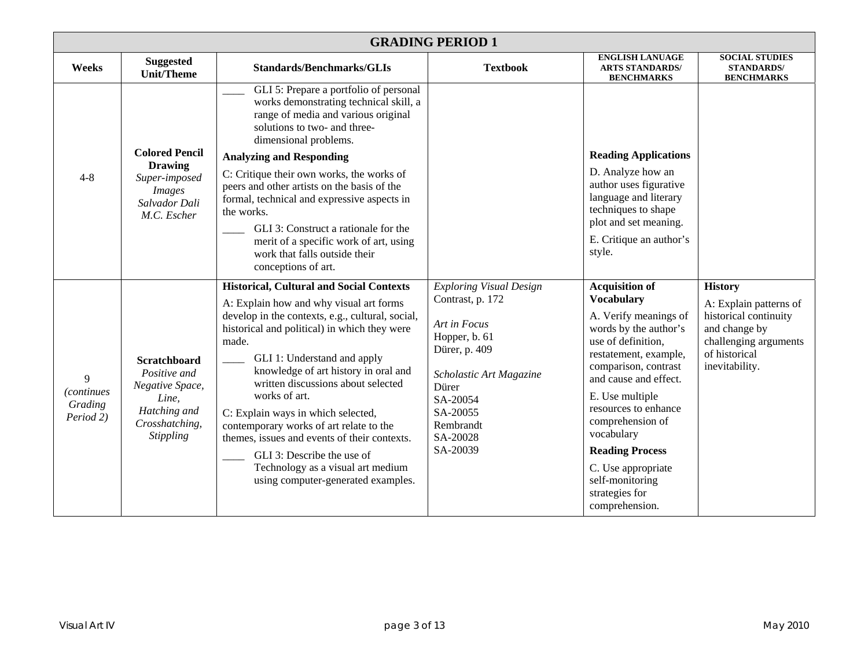| <b>GRADING PERIOD 1</b>                         |                                                                                                                       |                                                                                                                                                                                                                                                                                                                                                                                                                                                                                                                                                                                 |                                                                                                                                                                                                       |                                                                                                                                                                                                                                                                                                                                                                                  |                                                                                                                                                |  |
|-------------------------------------------------|-----------------------------------------------------------------------------------------------------------------------|---------------------------------------------------------------------------------------------------------------------------------------------------------------------------------------------------------------------------------------------------------------------------------------------------------------------------------------------------------------------------------------------------------------------------------------------------------------------------------------------------------------------------------------------------------------------------------|-------------------------------------------------------------------------------------------------------------------------------------------------------------------------------------------------------|----------------------------------------------------------------------------------------------------------------------------------------------------------------------------------------------------------------------------------------------------------------------------------------------------------------------------------------------------------------------------------|------------------------------------------------------------------------------------------------------------------------------------------------|--|
| Weeks                                           | <b>Suggested</b><br><b>Unit/Theme</b>                                                                                 | <b>Standards/Benchmarks/GLIs</b>                                                                                                                                                                                                                                                                                                                                                                                                                                                                                                                                                | <b>Textbook</b>                                                                                                                                                                                       | <b>ENGLISH LANUAGE</b><br><b>ARTS STANDARDS/</b><br><b>BENCHMARKS</b>                                                                                                                                                                                                                                                                                                            | <b>SOCIAL STUDIES</b><br><b>STANDARDS/</b><br><b>BENCHMARKS</b>                                                                                |  |
| $4 - 8$                                         | <b>Colored Pencil</b>                                                                                                 | GLI 5: Prepare a portfolio of personal<br>works demonstrating technical skill, a<br>range of media and various original<br>solutions to two- and three-<br>dimensional problems.<br><b>Analyzing and Responding</b>                                                                                                                                                                                                                                                                                                                                                             |                                                                                                                                                                                                       | <b>Reading Applications</b>                                                                                                                                                                                                                                                                                                                                                      |                                                                                                                                                |  |
|                                                 | <b>Drawing</b><br>Super-imposed<br><i>Images</i><br>Salvador Dali<br>M.C. Escher                                      | C: Critique their own works, the works of<br>peers and other artists on the basis of the<br>formal, technical and expressive aspects in<br>the works.<br>GLI 3: Construct a rationale for the<br>merit of a specific work of art, using<br>work that falls outside their<br>conceptions of art.                                                                                                                                                                                                                                                                                 |                                                                                                                                                                                                       | D. Analyze how an<br>author uses figurative<br>language and literary<br>techniques to shape<br>plot and set meaning.<br>E. Critique an author's<br>style.                                                                                                                                                                                                                        |                                                                                                                                                |  |
| 9<br><i>(continues)</i><br>Grading<br>Period 2) | <b>Scratchboard</b><br>Positive and<br>Negative Space,<br>Line,<br>Hatching and<br>Crosshatching,<br><b>Stippling</b> | <b>Historical, Cultural and Social Contexts</b><br>A: Explain how and why visual art forms<br>develop in the contexts, e.g., cultural, social,<br>historical and political) in which they were<br>made.<br>GLI 1: Understand and apply<br>knowledge of art history in oral and<br>written discussions about selected<br>works of art.<br>C: Explain ways in which selected,<br>contemporary works of art relate to the<br>themes, issues and events of their contexts.<br>GLI 3: Describe the use of<br>Technology as a visual art medium<br>using computer-generated examples. | <b>Exploring Visual Design</b><br>Contrast, p. 172<br>Art in Focus<br>Hopper, b. 61<br>Dürer, p. 409<br>Scholastic Art Magazine<br>Dürer<br>SA-20054<br>SA-20055<br>Rembrandt<br>SA-20028<br>SA-20039 | <b>Acquisition of</b><br><b>Vocabulary</b><br>A. Verify meanings of<br>words by the author's<br>use of definition,<br>restatement, example,<br>comparison, contrast<br>and cause and effect.<br>E. Use multiple<br>resources to enhance<br>comprehension of<br>vocabulary<br><b>Reading Process</b><br>C. Use appropriate<br>self-monitoring<br>strategies for<br>comprehension. | <b>History</b><br>A: Explain patterns of<br>historical continuity<br>and change by<br>challenging arguments<br>of historical<br>inevitability. |  |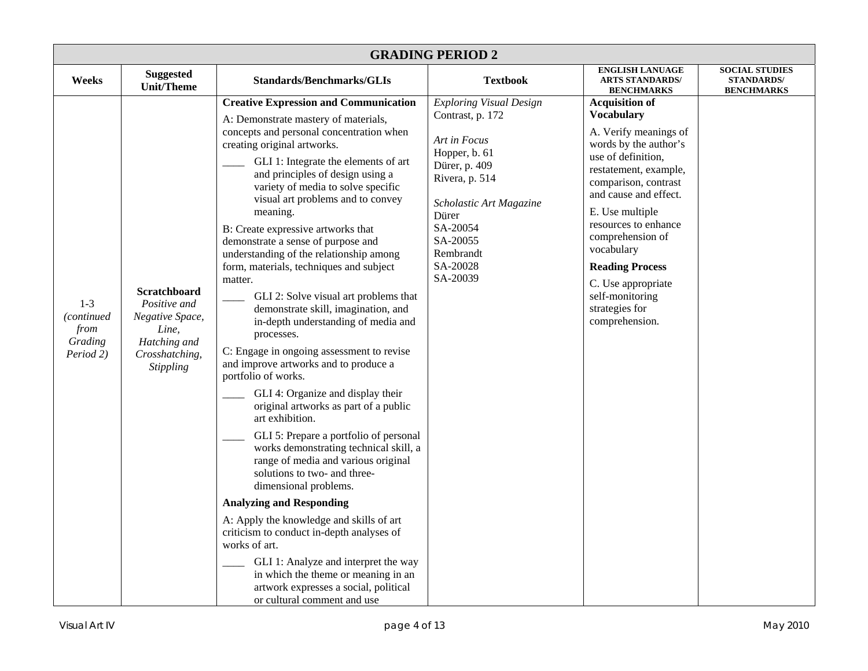| <b>GRADING PERIOD 2</b>                                   |                                                                                                                       |                                                                                                                                                                                                                                                                                                                                                                                                                                                                                                                                                                                                                                                                                                                                                                                                                                                                                                                                                                                                                                                                                                                                                                                                                                                                                                                                                            |                                                                                                                                                                                                                         |                                                                                                                                                                                                                                                                                                                                                                                  |                                                                 |  |
|-----------------------------------------------------------|-----------------------------------------------------------------------------------------------------------------------|------------------------------------------------------------------------------------------------------------------------------------------------------------------------------------------------------------------------------------------------------------------------------------------------------------------------------------------------------------------------------------------------------------------------------------------------------------------------------------------------------------------------------------------------------------------------------------------------------------------------------------------------------------------------------------------------------------------------------------------------------------------------------------------------------------------------------------------------------------------------------------------------------------------------------------------------------------------------------------------------------------------------------------------------------------------------------------------------------------------------------------------------------------------------------------------------------------------------------------------------------------------------------------------------------------------------------------------------------------|-------------------------------------------------------------------------------------------------------------------------------------------------------------------------------------------------------------------------|----------------------------------------------------------------------------------------------------------------------------------------------------------------------------------------------------------------------------------------------------------------------------------------------------------------------------------------------------------------------------------|-----------------------------------------------------------------|--|
| Weeks                                                     | <b>Suggested</b><br><b>Unit/Theme</b>                                                                                 | <b>Standards/Benchmarks/GLIs</b>                                                                                                                                                                                                                                                                                                                                                                                                                                                                                                                                                                                                                                                                                                                                                                                                                                                                                                                                                                                                                                                                                                                                                                                                                                                                                                                           | <b>Textbook</b>                                                                                                                                                                                                         | <b>ENGLISH LANUAGE</b><br><b>ARTS STANDARDS/</b><br><b>BENCHMARKS</b>                                                                                                                                                                                                                                                                                                            | <b>SOCIAL STUDIES</b><br><b>STANDARDS/</b><br><b>BENCHMARKS</b> |  |
| $1-3$<br><i>continued</i><br>from<br>Grading<br>Period 2) | <b>Scratchboard</b><br>Positive and<br>Negative Space,<br>Line,<br>Hatching and<br>Crosshatching,<br><b>Stippling</b> | <b>Creative Expression and Communication</b><br>A: Demonstrate mastery of materials,<br>concepts and personal concentration when<br>creating original artworks.<br>GLI 1: Integrate the elements of art<br>and principles of design using a<br>variety of media to solve specific<br>visual art problems and to convey<br>meaning.<br>B: Create expressive artworks that<br>demonstrate a sense of purpose and<br>understanding of the relationship among<br>form, materials, techniques and subject<br>matter.<br>GLI 2: Solve visual art problems that<br>demonstrate skill, imagination, and<br>in-depth understanding of media and<br>processes.<br>C: Engage in ongoing assessment to revise<br>and improve artworks and to produce a<br>portfolio of works.<br>GLI 4: Organize and display their<br>original artworks as part of a public<br>art exhibition.<br>GLI 5: Prepare a portfolio of personal<br>works demonstrating technical skill, a<br>range of media and various original<br>solutions to two- and three-<br>dimensional problems.<br><b>Analyzing and Responding</b><br>A: Apply the knowledge and skills of art<br>criticism to conduct in-depth analyses of<br>works of art.<br>GLI 1: Analyze and interpret the way<br>in which the theme or meaning in an<br>artwork expresses a social, political<br>or cultural comment and use | <b>Exploring Visual Design</b><br>Contrast, p. 172<br>Art in Focus<br>Hopper, b. 61<br>Dürer, p. 409<br>Rivera, p. 514<br>Scholastic Art Magazine<br>Dürer<br>SA-20054<br>SA-20055<br>Rembrandt<br>SA-20028<br>SA-20039 | <b>Acquisition of</b><br><b>Vocabulary</b><br>A. Verify meanings of<br>words by the author's<br>use of definition,<br>restatement, example,<br>comparison, contrast<br>and cause and effect.<br>E. Use multiple<br>resources to enhance<br>comprehension of<br>vocabulary<br><b>Reading Process</b><br>C. Use appropriate<br>self-monitoring<br>strategies for<br>comprehension. |                                                                 |  |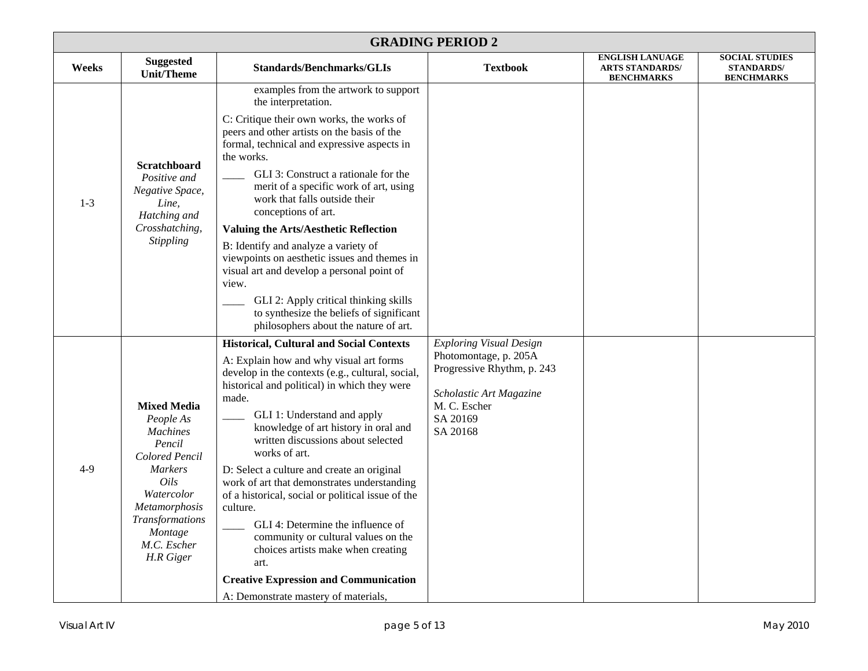|       | <b>GRADING PERIOD 2</b>                                                                                                                                                                           |                                                                                                                                                                                                                                                                                                                                                                                                                                                                                                                                                                                                                                                                                                                       |                                                                                                                                                          |                                                                       |                                                                 |  |  |
|-------|---------------------------------------------------------------------------------------------------------------------------------------------------------------------------------------------------|-----------------------------------------------------------------------------------------------------------------------------------------------------------------------------------------------------------------------------------------------------------------------------------------------------------------------------------------------------------------------------------------------------------------------------------------------------------------------------------------------------------------------------------------------------------------------------------------------------------------------------------------------------------------------------------------------------------------------|----------------------------------------------------------------------------------------------------------------------------------------------------------|-----------------------------------------------------------------------|-----------------------------------------------------------------|--|--|
| Weeks | <b>Suggested</b><br><b>Unit/Theme</b>                                                                                                                                                             | <b>Standards/Benchmarks/GLIs</b>                                                                                                                                                                                                                                                                                                                                                                                                                                                                                                                                                                                                                                                                                      | <b>Textbook</b>                                                                                                                                          | <b>ENGLISH LANUAGE</b><br><b>ARTS STANDARDS/</b><br><b>BENCHMARKS</b> | <b>SOCIAL STUDIES</b><br><b>STANDARDS/</b><br><b>BENCHMARKS</b> |  |  |
| $1-3$ | Scratchboard<br>Positive and<br>Negative Space,<br>Line,<br>Hatching and<br>Crosshatching,<br><b>Stippling</b>                                                                                    | examples from the artwork to support<br>the interpretation.<br>C: Critique their own works, the works of<br>peers and other artists on the basis of the<br>formal, technical and expressive aspects in<br>the works.<br>GLI 3: Construct a rationale for the<br>merit of a specific work of art, using<br>work that falls outside their<br>conceptions of art.<br><b>Valuing the Arts/Aesthetic Reflection</b><br>B: Identify and analyze a variety of<br>viewpoints on aesthetic issues and themes in<br>visual art and develop a personal point of<br>view.<br>GLI 2: Apply critical thinking skills<br>to synthesize the beliefs of significant<br>philosophers about the nature of art.                           |                                                                                                                                                          |                                                                       |                                                                 |  |  |
| $4-9$ | <b>Mixed Media</b><br>People As<br><b>Machines</b><br>Pencil<br>Colored Pencil<br><b>Markers</b><br>Oils<br>Watercolor<br>Metamorphosis<br>Transformations<br>Montage<br>M.C. Escher<br>H.R Giger | <b>Historical, Cultural and Social Contexts</b><br>A: Explain how and why visual art forms<br>develop in the contexts (e.g., cultural, social,<br>historical and political) in which they were<br>made.<br>GLI 1: Understand and apply<br>knowledge of art history in oral and<br>written discussions about selected<br>works of art.<br>D: Select a culture and create an original<br>work of art that demonstrates understanding<br>of a historical, social or political issue of the<br>culture.<br>GLI 4: Determine the influence of<br>community or cultural values on the<br>choices artists make when creating<br>art.<br><b>Creative Expression and Communication</b><br>A: Demonstrate mastery of materials, | <b>Exploring Visual Design</b><br>Photomontage, p. 205A<br>Progressive Rhythm, p. 243<br>Scholastic Art Magazine<br>M. C. Escher<br>SA 20169<br>SA 20168 |                                                                       |                                                                 |  |  |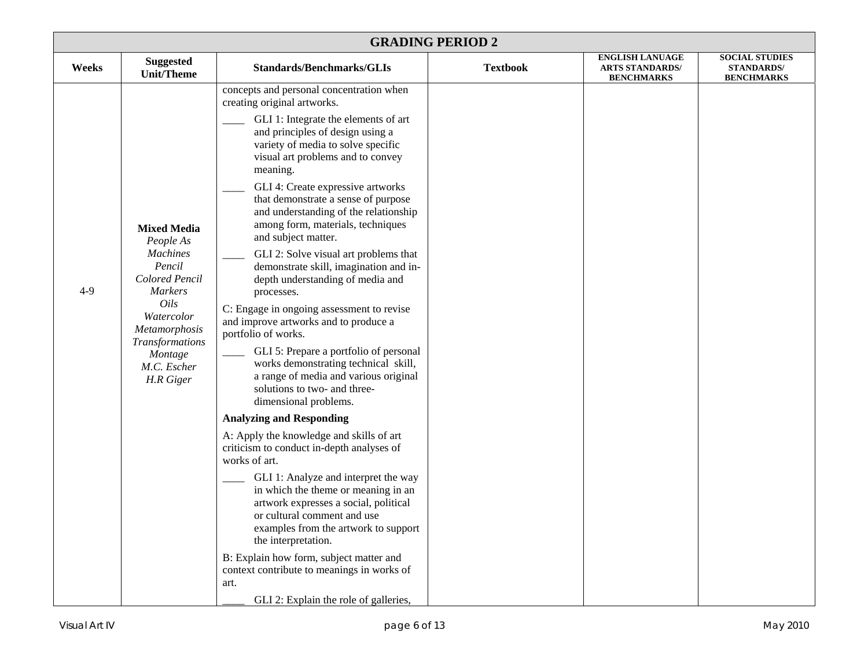|       | <b>GRADING PERIOD 2</b>                                                                                                                                                                                  |                                                                                                                                                                                                                                                                                                                                                                                                                                                                                                                                                                                                                                                                                                                                                                                                                                                                                                                                                                                                                                                                                                                                                                                                                                                                                                                                                                                |                 |                                                                       |                                                                 |  |
|-------|----------------------------------------------------------------------------------------------------------------------------------------------------------------------------------------------------------|--------------------------------------------------------------------------------------------------------------------------------------------------------------------------------------------------------------------------------------------------------------------------------------------------------------------------------------------------------------------------------------------------------------------------------------------------------------------------------------------------------------------------------------------------------------------------------------------------------------------------------------------------------------------------------------------------------------------------------------------------------------------------------------------------------------------------------------------------------------------------------------------------------------------------------------------------------------------------------------------------------------------------------------------------------------------------------------------------------------------------------------------------------------------------------------------------------------------------------------------------------------------------------------------------------------------------------------------------------------------------------|-----------------|-----------------------------------------------------------------------|-----------------------------------------------------------------|--|
| Weeks | <b>Suggested</b><br><b>Unit/Theme</b>                                                                                                                                                                    | <b>Standards/Benchmarks/GLIs</b>                                                                                                                                                                                                                                                                                                                                                                                                                                                                                                                                                                                                                                                                                                                                                                                                                                                                                                                                                                                                                                                                                                                                                                                                                                                                                                                                               | <b>Textbook</b> | <b>ENGLISH LANUAGE</b><br><b>ARTS STANDARDS/</b><br><b>BENCHMARKS</b> | <b>SOCIAL STUDIES</b><br><b>STANDARDS/</b><br><b>BENCHMARKS</b> |  |
| $4-9$ | <b>Mixed Media</b><br>People As<br><b>Machines</b><br>Pencil<br>Colored Pencil<br><b>Markers</b><br>Oils<br>Watercolor<br>Metamorphosis<br><b>Transformations</b><br>Montage<br>M.C. Escher<br>H.R Giger | concepts and personal concentration when<br>creating original artworks.<br>GLI 1: Integrate the elements of art<br>and principles of design using a<br>variety of media to solve specific<br>visual art problems and to convey<br>meaning.<br>GLI 4: Create expressive artworks<br>that demonstrate a sense of purpose<br>and understanding of the relationship<br>among form, materials, techniques<br>and subject matter.<br>GLI 2: Solve visual art problems that<br>demonstrate skill, imagination and in-<br>depth understanding of media and<br>processes.<br>C: Engage in ongoing assessment to revise<br>and improve artworks and to produce a<br>portfolio of works.<br>GLI 5: Prepare a portfolio of personal<br>works demonstrating technical skill,<br>a range of media and various original<br>solutions to two- and three-<br>dimensional problems.<br><b>Analyzing and Responding</b><br>A: Apply the knowledge and skills of art<br>criticism to conduct in-depth analyses of<br>works of art.<br>GLI 1: Analyze and interpret the way<br>in which the theme or meaning in an<br>artwork expresses a social, political<br>or cultural comment and use<br>examples from the artwork to support<br>the interpretation.<br>B: Explain how form, subject matter and<br>context contribute to meanings in works of<br>art.<br>GLI 2: Explain the role of galleries, |                 |                                                                       |                                                                 |  |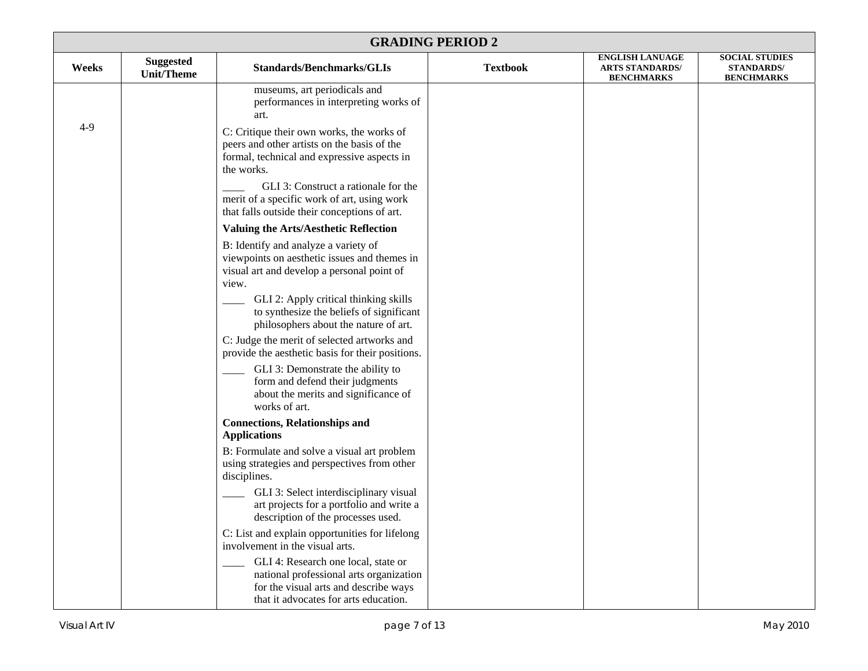| <b>GRADING PERIOD 2</b> |                                       |                                                                                                                                                                                                                                              |                 |                                                                       |                                                                 |  |  |
|-------------------------|---------------------------------------|----------------------------------------------------------------------------------------------------------------------------------------------------------------------------------------------------------------------------------------------|-----------------|-----------------------------------------------------------------------|-----------------------------------------------------------------|--|--|
| Weeks                   | <b>Suggested</b><br><b>Unit/Theme</b> | <b>Standards/Benchmarks/GLIs</b>                                                                                                                                                                                                             | <b>Textbook</b> | <b>ENGLISH LANUAGE</b><br><b>ARTS STANDARDS/</b><br><b>BENCHMARKS</b> | <b>SOCIAL STUDIES</b><br><b>STANDARDS/</b><br><b>BENCHMARKS</b> |  |  |
|                         |                                       | museums, art periodicals and<br>performances in interpreting works of<br>art.                                                                                                                                                                |                 |                                                                       |                                                                 |  |  |
| $4-9$                   |                                       | C: Critique their own works, the works of<br>peers and other artists on the basis of the<br>formal, technical and expressive aspects in<br>the works.<br>GLI 3: Construct a rationale for the<br>merit of a specific work of art, using work |                 |                                                                       |                                                                 |  |  |
|                         |                                       | that falls outside their conceptions of art.                                                                                                                                                                                                 |                 |                                                                       |                                                                 |  |  |
|                         |                                       | <b>Valuing the Arts/Aesthetic Reflection</b>                                                                                                                                                                                                 |                 |                                                                       |                                                                 |  |  |
|                         |                                       | B: Identify and analyze a variety of<br>viewpoints on aesthetic issues and themes in<br>visual art and develop a personal point of<br>view.                                                                                                  |                 |                                                                       |                                                                 |  |  |
|                         |                                       | GLI 2: Apply critical thinking skills<br>to synthesize the beliefs of significant<br>philosophers about the nature of art.                                                                                                                   |                 |                                                                       |                                                                 |  |  |
|                         |                                       | C: Judge the merit of selected artworks and<br>provide the aesthetic basis for their positions.                                                                                                                                              |                 |                                                                       |                                                                 |  |  |
|                         |                                       | GLI 3: Demonstrate the ability to<br>form and defend their judgments<br>about the merits and significance of<br>works of art.                                                                                                                |                 |                                                                       |                                                                 |  |  |
|                         |                                       | <b>Connections, Relationships and</b><br><b>Applications</b>                                                                                                                                                                                 |                 |                                                                       |                                                                 |  |  |
|                         |                                       | B: Formulate and solve a visual art problem<br>using strategies and perspectives from other<br>disciplines.                                                                                                                                  |                 |                                                                       |                                                                 |  |  |
|                         |                                       | GLI 3: Select interdisciplinary visual<br>art projects for a portfolio and write a<br>description of the processes used.                                                                                                                     |                 |                                                                       |                                                                 |  |  |
|                         |                                       | C: List and explain opportunities for lifelong<br>involvement in the visual arts.                                                                                                                                                            |                 |                                                                       |                                                                 |  |  |
|                         |                                       | GLI 4: Research one local, state or<br>national professional arts organization<br>for the visual arts and describe ways<br>that it advocates for arts education.                                                                             |                 |                                                                       |                                                                 |  |  |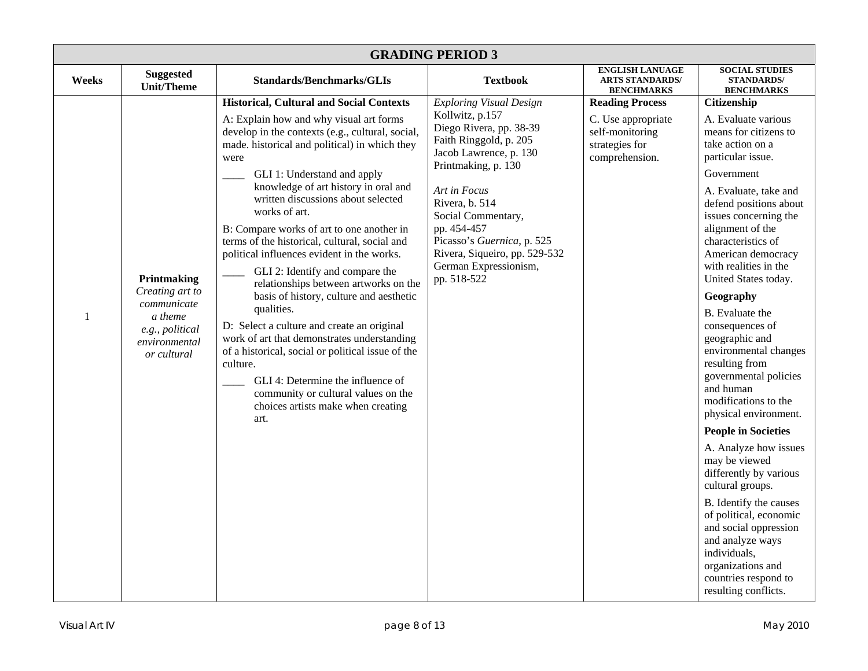| <b>GRADING PERIOD 3</b> |                                                                                                             |                                                                                                                                                                                                                                                                                                                                                                                                                                                                                                                                                                                                                                                                                                                                                                                                                                                                                                                |                                                                                                                                                                                                                                                                                                                                       |                                                                                                     |                                                                                                                                                                                                                                                                                                                                                                                                                                                                                                                                                                                                                                                                                                                                                                                                                                           |  |  |
|-------------------------|-------------------------------------------------------------------------------------------------------------|----------------------------------------------------------------------------------------------------------------------------------------------------------------------------------------------------------------------------------------------------------------------------------------------------------------------------------------------------------------------------------------------------------------------------------------------------------------------------------------------------------------------------------------------------------------------------------------------------------------------------------------------------------------------------------------------------------------------------------------------------------------------------------------------------------------------------------------------------------------------------------------------------------------|---------------------------------------------------------------------------------------------------------------------------------------------------------------------------------------------------------------------------------------------------------------------------------------------------------------------------------------|-----------------------------------------------------------------------------------------------------|-------------------------------------------------------------------------------------------------------------------------------------------------------------------------------------------------------------------------------------------------------------------------------------------------------------------------------------------------------------------------------------------------------------------------------------------------------------------------------------------------------------------------------------------------------------------------------------------------------------------------------------------------------------------------------------------------------------------------------------------------------------------------------------------------------------------------------------------|--|--|
| Weeks                   | <b>Suggested</b><br><b>Unit/Theme</b>                                                                       | <b>Standards/Benchmarks/GLIs</b>                                                                                                                                                                                                                                                                                                                                                                                                                                                                                                                                                                                                                                                                                                                                                                                                                                                                               | <b>Textbook</b>                                                                                                                                                                                                                                                                                                                       | <b>ENGLISH LANUAGE</b><br><b>ARTS STANDARDS/</b><br><b>BENCHMARKS</b>                               | <b>SOCIAL STUDIES</b><br><b>STANDARDS/</b><br><b>BENCHMARKS</b>                                                                                                                                                                                                                                                                                                                                                                                                                                                                                                                                                                                                                                                                                                                                                                           |  |  |
| $\mathbf{1}$            | Printmaking<br>Creating art to<br>communicate<br>a theme<br>e.g., political<br>environmental<br>or cultural | <b>Historical, Cultural and Social Contexts</b><br>A: Explain how and why visual art forms<br>develop in the contexts (e.g., cultural, social,<br>made. historical and political) in which they<br>were<br>GLI 1: Understand and apply<br>knowledge of art history in oral and<br>written discussions about selected<br>works of art.<br>B: Compare works of art to one another in<br>terms of the historical, cultural, social and<br>political influences evident in the works.<br>GLI 2: Identify and compare the<br>relationships between artworks on the<br>basis of history, culture and aesthetic<br>qualities.<br>D: Select a culture and create an original<br>work of art that demonstrates understanding<br>of a historical, social or political issue of the<br>culture.<br>GLI 4: Determine the influence of<br>community or cultural values on the<br>choices artists make when creating<br>art. | <b>Exploring Visual Design</b><br>Kollwitz, p.157<br>Diego Rivera, pp. 38-39<br>Faith Ringgold, p. 205<br>Jacob Lawrence, p. 130<br>Printmaking, p. 130<br>Art in Focus<br>Rivera, b. 514<br>Social Commentary,<br>pp. 454-457<br>Picasso's Guernica, p. 525<br>Rivera, Siqueiro, pp. 529-532<br>German Expressionism,<br>pp. 518-522 | <b>Reading Process</b><br>C. Use appropriate<br>self-monitoring<br>strategies for<br>comprehension. | Citizenship<br>A. Evaluate various<br>means for citizens to<br>take action on a<br>particular issue.<br>Government<br>A. Evaluate, take and<br>defend positions about<br>issues concerning the<br>alignment of the<br>characteristics of<br>American democracy<br>with realities in the<br>United States today.<br>Geography<br><b>B.</b> Evaluate the<br>consequences of<br>geographic and<br>environmental changes<br>resulting from<br>governmental policies<br>and human<br>modifications to the<br>physical environment.<br><b>People in Societies</b><br>A. Analyze how issues<br>may be viewed<br>differently by various<br>cultural groups.<br>B. Identify the causes<br>of political, economic<br>and social oppression<br>and analyze ways<br>individuals,<br>organizations and<br>countries respond to<br>resulting conflicts. |  |  |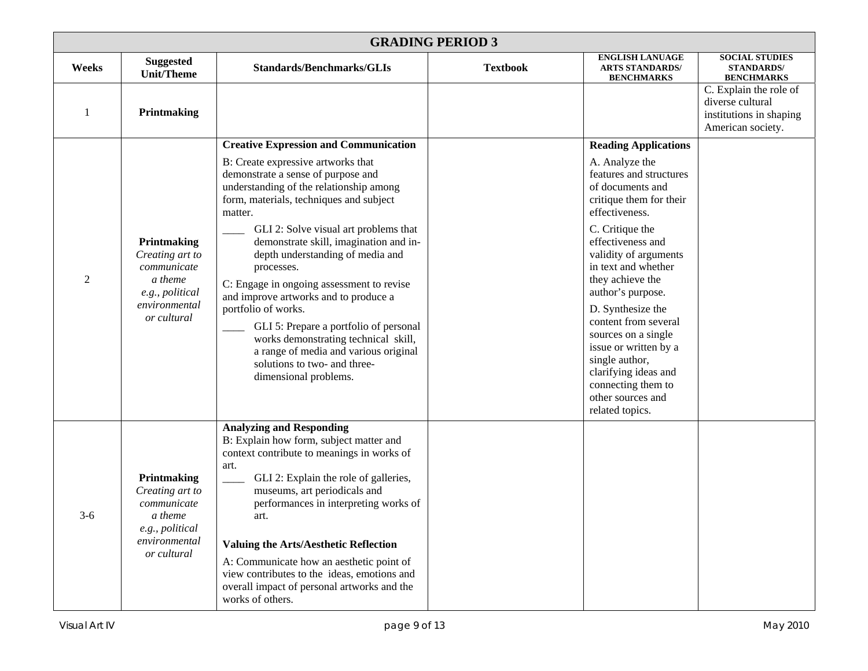|                | <b>GRADING PERIOD 3</b>                                                                                     |                                                                                                                                                                                                                                                                                                                                                                                                                                                                                                                                                                                                                                                                 |                 |                                                                                                                                                                                                                                                                                                                                                                                                                                                                                 |                                                                                            |  |  |
|----------------|-------------------------------------------------------------------------------------------------------------|-----------------------------------------------------------------------------------------------------------------------------------------------------------------------------------------------------------------------------------------------------------------------------------------------------------------------------------------------------------------------------------------------------------------------------------------------------------------------------------------------------------------------------------------------------------------------------------------------------------------------------------------------------------------|-----------------|---------------------------------------------------------------------------------------------------------------------------------------------------------------------------------------------------------------------------------------------------------------------------------------------------------------------------------------------------------------------------------------------------------------------------------------------------------------------------------|--------------------------------------------------------------------------------------------|--|--|
| Weeks          | <b>Suggested</b><br><b>Unit/Theme</b>                                                                       | <b>Standards/Benchmarks/GLIs</b>                                                                                                                                                                                                                                                                                                                                                                                                                                                                                                                                                                                                                                | <b>Textbook</b> | <b>ENGLISH LANUAGE</b><br><b>ARTS STANDARDS/</b><br><b>BENCHMARKS</b>                                                                                                                                                                                                                                                                                                                                                                                                           | <b>SOCIAL STUDIES</b><br><b>STANDARDS/</b><br><b>BENCHMARKS</b>                            |  |  |
|                | Printmaking                                                                                                 |                                                                                                                                                                                                                                                                                                                                                                                                                                                                                                                                                                                                                                                                 |                 |                                                                                                                                                                                                                                                                                                                                                                                                                                                                                 | C. Explain the role of<br>diverse cultural<br>institutions in shaping<br>American society. |  |  |
| $\overline{2}$ | Printmaking<br>Creating art to<br>communicate<br>a theme<br>e.g., political<br>environmental<br>or cultural | <b>Creative Expression and Communication</b><br>B: Create expressive artworks that<br>demonstrate a sense of purpose and<br>understanding of the relationship among<br>form, materials, techniques and subject<br>matter.<br>GLI 2: Solve visual art problems that<br>demonstrate skill, imagination and in-<br>depth understanding of media and<br>processes.<br>C: Engage in ongoing assessment to revise<br>and improve artworks and to produce a<br>portfolio of works.<br>GLI 5: Prepare a portfolio of personal<br>works demonstrating technical skill,<br>a range of media and various original<br>solutions to two- and three-<br>dimensional problems. |                 | <b>Reading Applications</b><br>A. Analyze the<br>features and structures<br>of documents and<br>critique them for their<br>effectiveness.<br>C. Critique the<br>effectiveness and<br>validity of arguments<br>in text and whether<br>they achieve the<br>author's purpose.<br>D. Synthesize the<br>content from several<br>sources on a single<br>issue or written by a<br>single author,<br>clarifying ideas and<br>connecting them to<br>other sources and<br>related topics. |                                                                                            |  |  |
| $3-6$          | Printmaking<br>Creating art to<br>communicate<br>a theme<br>e.g., political<br>environmental<br>or cultural | <b>Analyzing and Responding</b><br>B: Explain how form, subject matter and<br>context contribute to meanings in works of<br>art.<br>GLI 2: Explain the role of galleries,<br>museums, art periodicals and<br>performances in interpreting works of<br>art.<br><b>Valuing the Arts/Aesthetic Reflection</b><br>A: Communicate how an aesthetic point of<br>view contributes to the ideas, emotions and<br>overall impact of personal artworks and the<br>works of others.                                                                                                                                                                                        |                 |                                                                                                                                                                                                                                                                                                                                                                                                                                                                                 |                                                                                            |  |  |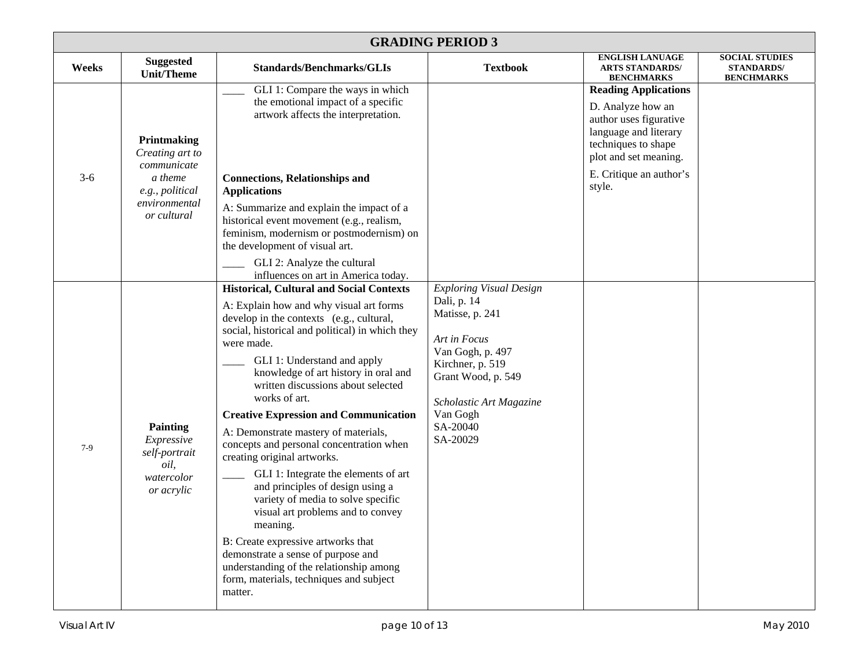|       | <b>GRADING PERIOD 3</b>                                                                                     |                                                                                                                                                                                                                                                                                                                                                                                                                                                                                                                                                                                                                                                                                                                                                                                                                                                                                                 |                                                                                                                                                                                                               |                                                                                                                                                                                          |                                                                 |  |  |  |
|-------|-------------------------------------------------------------------------------------------------------------|-------------------------------------------------------------------------------------------------------------------------------------------------------------------------------------------------------------------------------------------------------------------------------------------------------------------------------------------------------------------------------------------------------------------------------------------------------------------------------------------------------------------------------------------------------------------------------------------------------------------------------------------------------------------------------------------------------------------------------------------------------------------------------------------------------------------------------------------------------------------------------------------------|---------------------------------------------------------------------------------------------------------------------------------------------------------------------------------------------------------------|------------------------------------------------------------------------------------------------------------------------------------------------------------------------------------------|-----------------------------------------------------------------|--|--|--|
| Weeks | <b>Suggested</b><br><b>Unit/Theme</b>                                                                       | <b>Standards/Benchmarks/GLIs</b>                                                                                                                                                                                                                                                                                                                                                                                                                                                                                                                                                                                                                                                                                                                                                                                                                                                                | <b>Textbook</b>                                                                                                                                                                                               | <b>ENGLISH LANUAGE</b><br><b>ARTS STANDARDS/</b><br><b>BENCHMARKS</b>                                                                                                                    | <b>SOCIAL STUDIES</b><br><b>STANDARDS/</b><br><b>BENCHMARKS</b> |  |  |  |
| $3-6$ | Printmaking<br>Creating art to<br>communicate<br>a theme<br>e.g., political<br>environmental<br>or cultural | GLI 1: Compare the ways in which<br>the emotional impact of a specific<br>artwork affects the interpretation.<br><b>Connections, Relationships and</b><br><b>Applications</b><br>A: Summarize and explain the impact of a<br>historical event movement (e.g., realism,<br>feminism, modernism or postmodernism) on<br>the development of visual art.<br>GLI 2: Analyze the cultural                                                                                                                                                                                                                                                                                                                                                                                                                                                                                                             |                                                                                                                                                                                                               | <b>Reading Applications</b><br>D. Analyze how an<br>author uses figurative<br>language and literary<br>techniques to shape<br>plot and set meaning.<br>E. Critique an author's<br>style. |                                                                 |  |  |  |
| $7-9$ | <b>Painting</b><br>Expressive<br>self-portrait<br>oil,<br>watercolor<br>or acrylic                          | influences on art in America today.<br><b>Historical, Cultural and Social Contexts</b><br>A: Explain how and why visual art forms<br>develop in the contexts (e.g., cultural,<br>social, historical and political) in which they<br>were made.<br>GLI 1: Understand and apply<br>knowledge of art history in oral and<br>written discussions about selected<br>works of art.<br><b>Creative Expression and Communication</b><br>A: Demonstrate mastery of materials,<br>concepts and personal concentration when<br>creating original artworks.<br>GLI 1: Integrate the elements of art<br>and principles of design using a<br>variety of media to solve specific<br>visual art problems and to convey<br>meaning.<br>B: Create expressive artworks that<br>demonstrate a sense of purpose and<br>understanding of the relationship among<br>form, materials, techniques and subject<br>matter. | <b>Exploring Visual Design</b><br>Dali, p. 14<br>Matisse, p. 241<br>Art in Focus<br>Van Gogh, p. 497<br>Kirchner, p. 519<br>Grant Wood, p. 549<br>Scholastic Art Magazine<br>Van Gogh<br>SA-20040<br>SA-20029 |                                                                                                                                                                                          |                                                                 |  |  |  |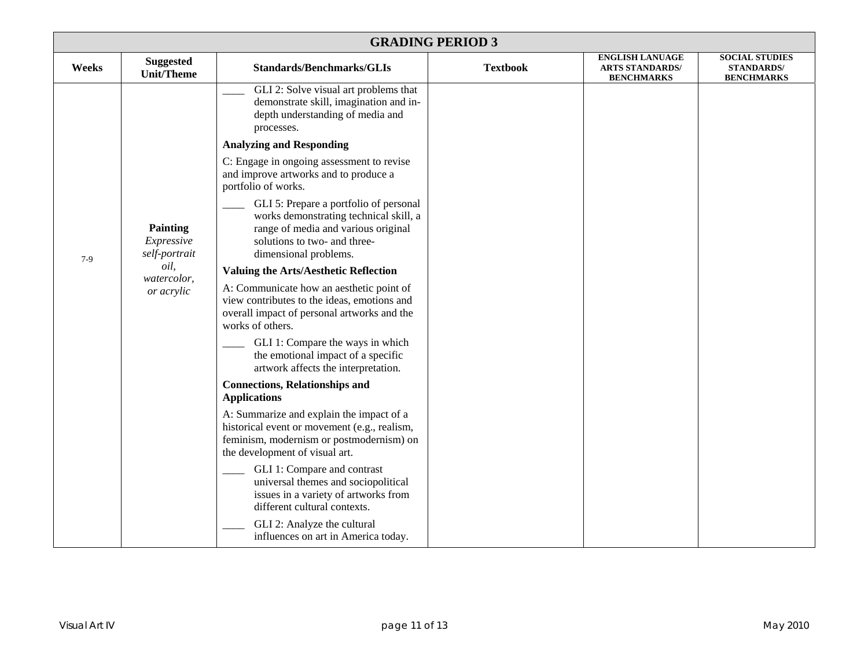| <b>GRADING PERIOD 3</b> |                                                                                     |                                                                                                                                                                                  |                 |                                                                       |                                                                 |  |
|-------------------------|-------------------------------------------------------------------------------------|----------------------------------------------------------------------------------------------------------------------------------------------------------------------------------|-----------------|-----------------------------------------------------------------------|-----------------------------------------------------------------|--|
| Weeks                   | <b>Suggested</b><br><b>Unit/Theme</b>                                               | <b>Standards/Benchmarks/GLIs</b>                                                                                                                                                 | <b>Textbook</b> | <b>ENGLISH LANUAGE</b><br><b>ARTS STANDARDS/</b><br><b>BENCHMARKS</b> | <b>SOCIAL STUDIES</b><br><b>STANDARDS/</b><br><b>BENCHMARKS</b> |  |
|                         |                                                                                     | GLI 2: Solve visual art problems that<br>demonstrate skill, imagination and in-<br>depth understanding of media and<br>processes.                                                |                 |                                                                       |                                                                 |  |
|                         |                                                                                     | <b>Analyzing and Responding</b>                                                                                                                                                  |                 |                                                                       |                                                                 |  |
|                         |                                                                                     | C: Engage in ongoing assessment to revise<br>and improve artworks and to produce a<br>portfolio of works.                                                                        |                 |                                                                       |                                                                 |  |
|                         | <b>Painting</b><br>Expressive<br>self-portrait<br>oil,<br>watercolor,<br>or acrylic | GLI 5: Prepare a portfolio of personal<br>works demonstrating technical skill, a<br>range of media and various original<br>solutions to two- and three-<br>dimensional problems. |                 |                                                                       |                                                                 |  |
| $7-9$                   |                                                                                     | Valuing the Arts/Aesthetic Reflection                                                                                                                                            |                 |                                                                       |                                                                 |  |
|                         |                                                                                     | A: Communicate how an aesthetic point of<br>view contributes to the ideas, emotions and<br>overall impact of personal artworks and the<br>works of others.                       |                 |                                                                       |                                                                 |  |
|                         |                                                                                     | GLI 1: Compare the ways in which<br>the emotional impact of a specific<br>artwork affects the interpretation.                                                                    |                 |                                                                       |                                                                 |  |
|                         |                                                                                     | <b>Connections, Relationships and</b><br><b>Applications</b>                                                                                                                     |                 |                                                                       |                                                                 |  |
|                         |                                                                                     | A: Summarize and explain the impact of a<br>historical event or movement (e.g., realism,<br>feminism, modernism or postmodernism) on<br>the development of visual art.           |                 |                                                                       |                                                                 |  |
|                         |                                                                                     | GLI 1: Compare and contrast<br>universal themes and sociopolitical<br>issues in a variety of artworks from<br>different cultural contexts.                                       |                 |                                                                       |                                                                 |  |
|                         |                                                                                     | GLI 2: Analyze the cultural<br>influences on art in America today.                                                                                                               |                 |                                                                       |                                                                 |  |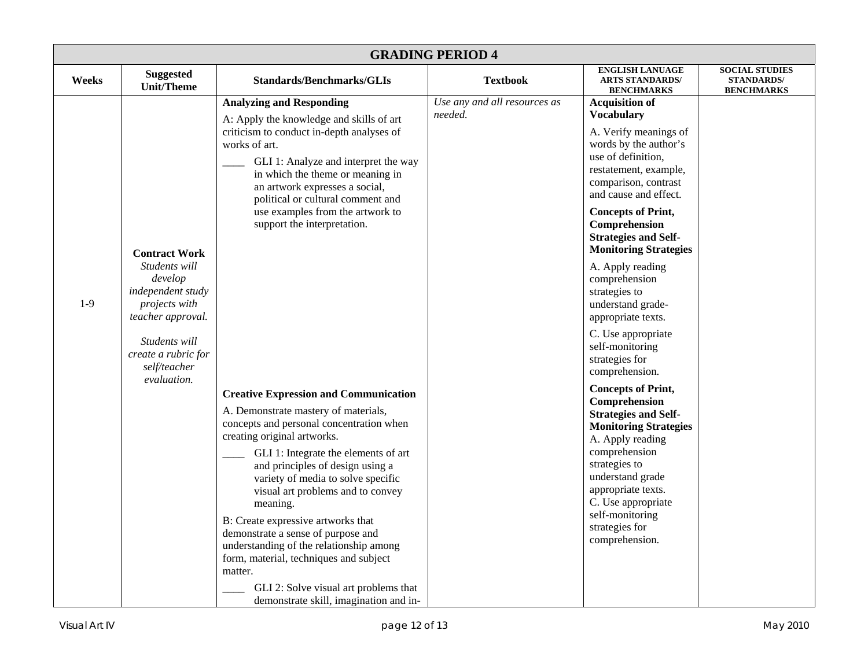| <b>GRADING PERIOD 4</b> |                                                                                                                                                                                    |                                                                                                                                                                                                                                                                                                                                                                                                                                                                                                                                                                                                                                                                                                                                                                                                                                                                                                                                                                      |                                         |                                                                                                                                                                                                                                                                                                                                                                                                                                                                                                                                                                                                                                                                                                                                                                                   |                                                                 |  |  |
|-------------------------|------------------------------------------------------------------------------------------------------------------------------------------------------------------------------------|----------------------------------------------------------------------------------------------------------------------------------------------------------------------------------------------------------------------------------------------------------------------------------------------------------------------------------------------------------------------------------------------------------------------------------------------------------------------------------------------------------------------------------------------------------------------------------------------------------------------------------------------------------------------------------------------------------------------------------------------------------------------------------------------------------------------------------------------------------------------------------------------------------------------------------------------------------------------|-----------------------------------------|-----------------------------------------------------------------------------------------------------------------------------------------------------------------------------------------------------------------------------------------------------------------------------------------------------------------------------------------------------------------------------------------------------------------------------------------------------------------------------------------------------------------------------------------------------------------------------------------------------------------------------------------------------------------------------------------------------------------------------------------------------------------------------------|-----------------------------------------------------------------|--|--|
| Weeks                   | <b>Suggested</b><br><b>Unit/Theme</b>                                                                                                                                              | <b>Standards/Benchmarks/GLIs</b>                                                                                                                                                                                                                                                                                                                                                                                                                                                                                                                                                                                                                                                                                                                                                                                                                                                                                                                                     | <b>Textbook</b>                         | <b>ENGLISH LANUAGE</b><br><b>ARTS STANDARDS/</b><br><b>BENCHMARKS</b>                                                                                                                                                                                                                                                                                                                                                                                                                                                                                                                                                                                                                                                                                                             | <b>SOCIAL STUDIES</b><br><b>STANDARDS/</b><br><b>BENCHMARKS</b> |  |  |
| $1-9$                   | <b>Contract Work</b><br>Students will<br>develop<br>independent study<br>projects with<br>teacher approval.<br>Students will<br>create a rubric for<br>self/teacher<br>evaluation. | <b>Analyzing and Responding</b><br>A: Apply the knowledge and skills of art<br>criticism to conduct in-depth analyses of<br>works of art.<br>GLI 1: Analyze and interpret the way<br>in which the theme or meaning in<br>an artwork expresses a social,<br>political or cultural comment and<br>use examples from the artwork to<br>support the interpretation.<br><b>Creative Expression and Communication</b><br>A. Demonstrate mastery of materials,<br>concepts and personal concentration when<br>creating original artworks.<br>GLI 1: Integrate the elements of art<br>and principles of design using a<br>variety of media to solve specific<br>visual art problems and to convey<br>meaning.<br>B: Create expressive artworks that<br>demonstrate a sense of purpose and<br>understanding of the relationship among<br>form, material, techniques and subject<br>matter.<br>GLI 2: Solve visual art problems that<br>demonstrate skill, imagination and in- | Use any and all resources as<br>needed. | <b>Acquisition of</b><br><b>Vocabulary</b><br>A. Verify meanings of<br>words by the author's<br>use of definition,<br>restatement, example,<br>comparison, contrast<br>and cause and effect.<br><b>Concepts of Print,</b><br>Comprehension<br><b>Strategies and Self-</b><br><b>Monitoring Strategies</b><br>A. Apply reading<br>comprehension<br>strategies to<br>understand grade-<br>appropriate texts.<br>C. Use appropriate<br>self-monitoring<br>strategies for<br>comprehension.<br><b>Concepts of Print,</b><br>Comprehension<br><b>Strategies and Self-</b><br><b>Monitoring Strategies</b><br>A. Apply reading<br>comprehension<br>strategies to<br>understand grade<br>appropriate texts.<br>C. Use appropriate<br>self-monitoring<br>strategies for<br>comprehension. |                                                                 |  |  |